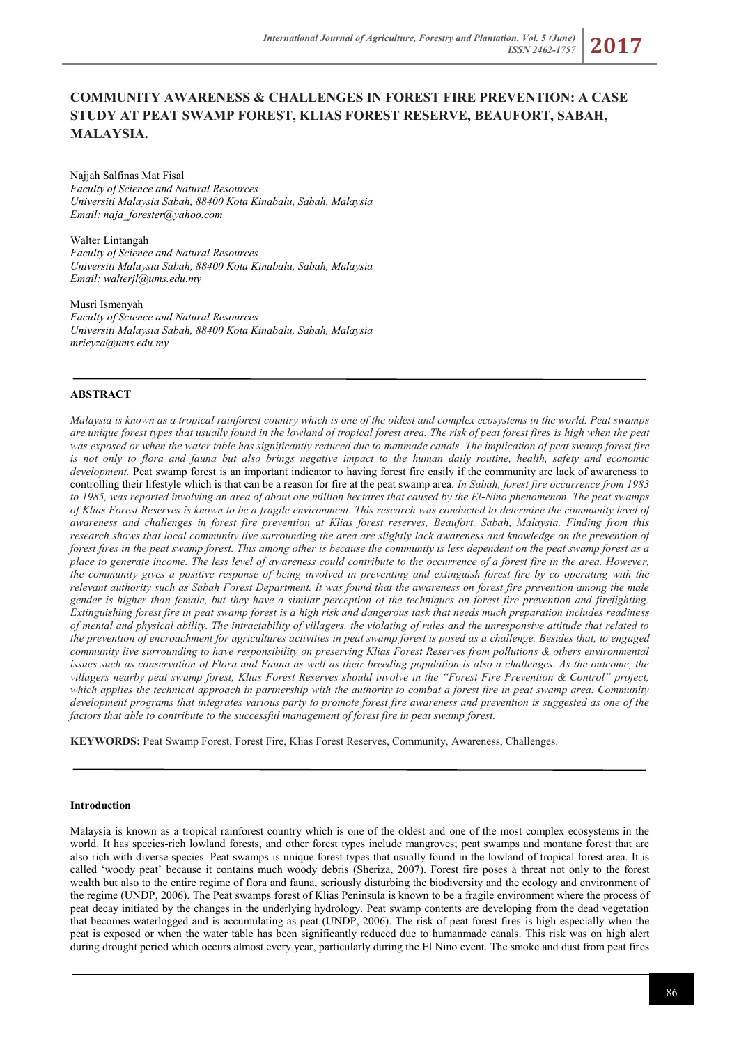*ISSN 2462-1757* **2017**

# **COMMUNITY AWARENESS & CHALLENGES IN FOREST FIRE PREVENTION: A CASE STUDY AT PEAT SWAMP FOREST, KLIAS FOREST RESERVE, BEAUFORT, SABAH, MALAYSIA.**

Najjah Salfinas Mat Fisal *Faculty of Science and Natural Resources Universiti Malaysia Sabah, 88400 Kota Kinabalu, Sabah, Malaysia Email[: naja\\_forester@yahoo.com](mailto:naja_forester@yahoo.com)*

Walter Lintangah *Faculty of Science and Natural Resources Universiti Malaysia Sabah, 88400 Kota Kinabalu, Sabah, Malaysia Email[: walterjl@ums.edu.my](mailto:walterjl@ums.edu.my)*

Musri Ismenyah *Faculty of Science and Natural Resources Universiti Malaysia Sabah, 88400 Kota Kinabalu, Sabah, Malaysia [mrieyza@ums.edu.my](mailto:mrieyza@ums.edu.my)*

## **ABSTRACT**

*Malaysia is known as a tropical rainforest country which is one of the oldest and complex ecosystems in the world. Peat swamps are unique forest types that usually found in the lowland of tropical forest area. The risk of peat forest fires is high when the peat was exposed or when the water table has significantly reduced due to manmade canals. The implication of peat swamp forest fire is not only to flora and fauna but also brings negative impact to the human daily routine, health, safety and economic development.* Peat swamp forest is an important indicator to having forest fire easily if the community are lack of awareness to controlling their lifestyle which is that can be a reason for fire at the peat swamp area. *In Sabah, forest fire occurrence from 1983 to 1985, was reported involving an area of about one million hectares that caused by the El-Nino phenomenon. The peat swamps of Klias Forest Reserves is known to be a fragile environment. This research was conducted to determine the community level of awareness and challenges in forest fire prevention at Klias forest reserves, Beaufort, Sabah, Malaysia. Finding from this research shows that local community live surrounding the area are slightly lack awareness and knowledge on the prevention of forest fires in the peat swamp forest. This among other is because the community is less dependent on the peat swamp forest as a place to generate income. The less level of awareness could contribute to the occurrence of a forest fire in the area. However, the community gives a positive response of being involved in preventing and extinguish forest fire by co-operating with the relevant authority such as Sabah Forest Department. It was found that the awareness on forest fire prevention among the male gender is higher than female, but they have a similar perception of the techniques on forest fire prevention and firefighting. Extinguishing forest fire in peat swamp forest is a high risk and dangerous task that needs much preparation includes readiness of mental and physical ability. The intractability of villagers, the violating of rules and the unresponsive attitude that related to the prevention of encroachment for agricultures activities in peat swamp forest is posed as a challenge. Besides that, to engaged community live surrounding to have responsibility on preserving Klias Forest Reserves from pollutions & others environmental issues such as conservation of Flora and Fauna as well as their breeding population is also a challenges. As the outcome, the villagers nearby peat swamp forest, Klias Forest Reserves should involve in the "Forest Fire Prevention & Control" project, which applies the technical approach in partnership with the authority to combat a forest fire in peat swamp area. Community development programs that integrates various party to promote forest fire awareness and prevention is suggested as one of the factors that able to contribute to the successful management of forest fire in peat swamp forest.* 

**KEYWORDS:** Peat Swamp Forest, Forest Fire, Klias Forest Reserves, Community, Awareness, Challenges.

#### **Introduction**

Malaysia is known as a tropical rainforest country which is one of the oldest and one of the most complex ecosystems in the world. It has species-rich lowland forests, and other forest types include mangroves; peat swamps and montane forest that are also rich with diverse species. Peat swamps is unique forest types that usually found in the lowland of tropical forest area. It is called 'woody peat' because it contains much woody debris (Sheriza, 2007). Forest fire poses a threat not only to the forest wealth but also to the entire regime of flora and fauna, seriously disturbing the biodiversity and the ecology and environment of the regime (UNDP, 2006). The Peat swamps forest of Klias Peninsula is known to be a fragile environment where the process of peat decay initiated by the changes in the underlying hydrology. Peat swamp contents are developing from the dead vegetation that becomes waterlogged and is accumulating as peat (UNDP, 2006). The risk of peat forest fires is high especially when the peat is exposed or when the water table has been significantly reduced due to humanmade canals. This risk was on high alert during drought period which occurs almost every year, particularly during the El Nino event. The smoke and dust from peat fires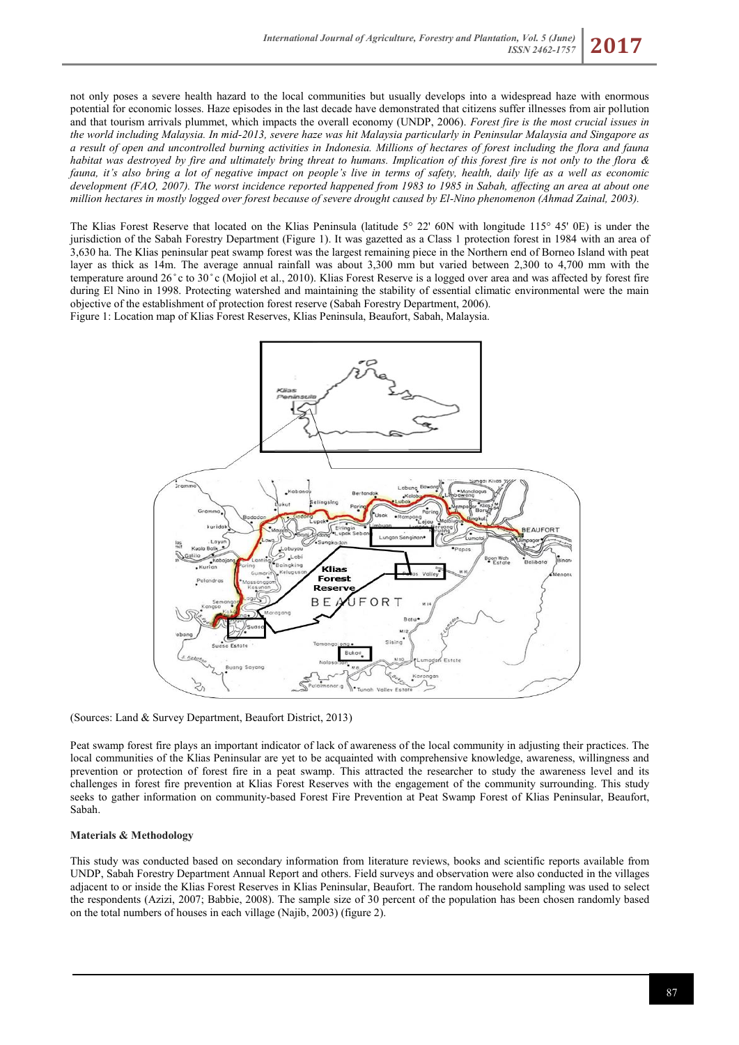not only poses a severe health hazard to the local communities but usually develops into a widespread haze with enormous potential for economic losses. Haze episodes in the last decade have demonstrated that citizens suffer illnesses from air pollution and that tourism arrivals plummet, which impacts the overall economy (UNDP, 2006). *Forest fire is the most crucial issues in the world including Malaysia. In mid-2013, severe haze was hit Malaysia particularly in Peninsular Malaysia and Singapore as a result of open and uncontrolled burning activities in Indonesia. Millions of hectares of forest including the flora and fauna habitat was destroyed by fire and ultimately bring threat to humans. Implication of this forest fire is not only to the flora & fauna, it's also bring a lot of negative impact on people's live in terms of safety, health, daily life as a well as economic development (FAO, 2007). The worst incidence reported happened from 1983 to 1985 in Sabah, affecting an area at about one million hectares in mostly logged over forest because of severe drought caused by El-Nino phenomenon (Ahmad Zainal, 2003).*

The Klias Forest Reserve that located on the Klias Peninsula (latitude 5° 22' 60N with longitude 115° 45' 0E) is under the jurisdiction of the Sabah Forestry Department (Figure 1). It was gazetted as a Class 1 protection forest in 1984 with an area of 3,630 ha. The Klias peninsular peat swamp forest was the largest remaining piece in the Northern end of Borneo Island with peat layer as thick as 14m. The average annual rainfall was about 3,300 mm but varied between 2,300 to 4,700 mm with the temperature around 26 ̊c to 30 ̊c (Mojiol et al., 2010). Klias Forest Reserve is a logged over area and was affected by forest fire during El Nino in 1998. Protecting watershed and maintaining the stability of essential climatic environmental were the main objective of the establishment of protection forest reserve (Sabah Forestry Department, 2006).

Figure 1: Location map of Klias Forest Reserves, Klias Peninsula, Beaufort, Sabah, Malaysia.



(Sources: Land & Survey Department, Beaufort District, 2013)

Peat swamp forest fire plays an important indicator of lack of awareness of the local community in adjusting their practices. The local communities of the Klias Peninsular are yet to be acquainted with comprehensive knowledge, awareness, willingness and prevention or protection of forest fire in a peat swamp. This attracted the researcher to study the awareness level and its challenges in forest fire prevention at Klias Forest Reserves with the engagement of the community surrounding. This study seeks to gather information on community-based Forest Fire Prevention at Peat Swamp Forest of Klias Peninsular, Beaufort, Sabah.

## **Materials & Methodology**

This study was conducted based on secondary information from literature reviews, books and scientific reports available from UNDP, Sabah Forestry Department Annual Report and others. Field surveys and observation were also conducted in the villages adjacent to or inside the Klias Forest Reserves in Klias Peninsular, Beaufort. The random household sampling was used to select the respondents (Azizi, 2007; Babbie, 2008). The sample size of 30 percent of the population has been chosen randomly based on the total numbers of houses in each village (Najib, 2003) (figure 2).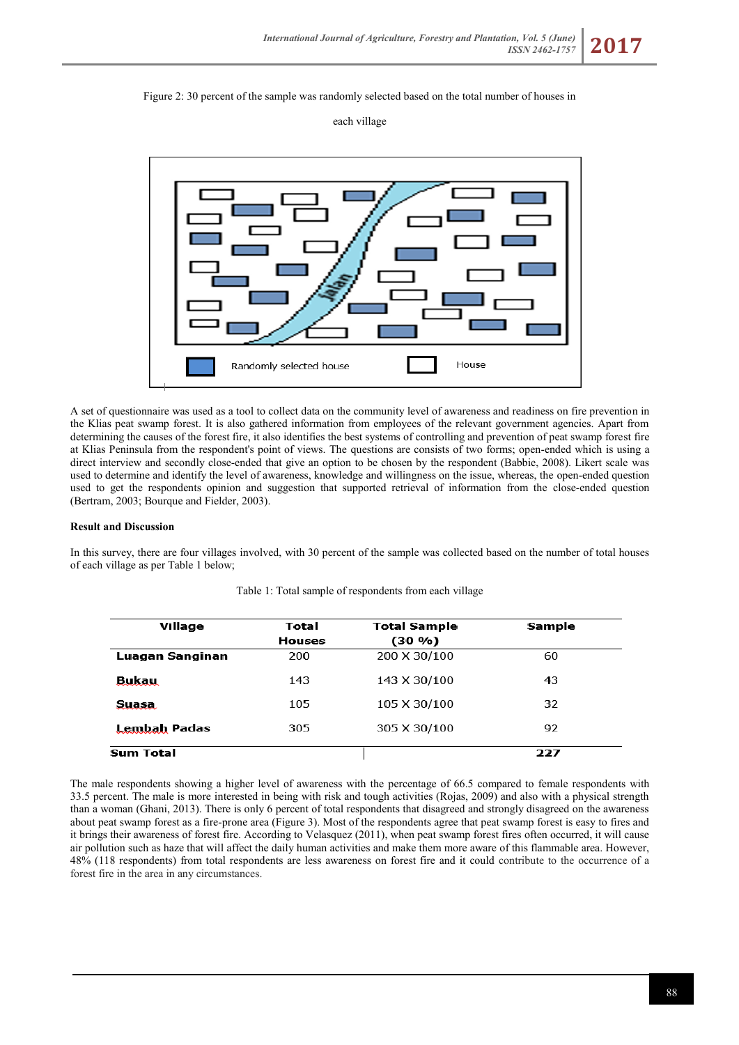

## each village



A set of questionnaire was used as a tool to collect data on the community level of awareness and readiness on fire prevention in the Klias peat swamp forest. It is also gathered information from employees of the relevant government agencies. Apart from determining the causes of the forest fire, it also identifies the best systems of controlling and prevention of peat swamp forest fire at Klias Peninsula from the respondent's point of views. The questions are consists of two forms; open-ended which is using a direct interview and secondly close-ended that give an option to be chosen by the respondent (Babbie, 2008). Likert scale was used to determine and identify the level of awareness, knowledge and willingness on the issue, whereas, the open-ended question used to get the respondents opinion and suggestion that supported retrieval of information from the close-ended question (Bertram, 2003; Bourque and Fielder, 2003).

## **Result and Discussion**

In this survey, there are four villages involved, with 30 percent of the sample was collected based on the number of total houses of each village as per Table 1 below;

| Village         | Total<br><b>Houses</b> | <b>Total Sample</b><br>$(30\% )$ | Sample |
|-----------------|------------------------|----------------------------------|--------|
| Luagan Sanginan | 200                    | 200 X 30/100                     | 60     |
| Bukau           | 143                    | 143 X 30/100                     | 43     |
| Suasa.          | 105                    | 105 X 30/100                     | 32     |
| Lembah Padas    | 305                    | 305 X 30/100                     | 92     |
| Sum Total       |                        |                                  | 227    |

Table 1: Total sample of respondents from each village

The male respondents showing a higher level of awareness with the percentage of 66.5 compared to female respondents with 33.5 percent. The male is more interested in being with risk and tough activities (Rojas, 2009) and also with a physical strength than a woman (Ghani, 2013). There is only 6 percent of total respondents that disagreed and strongly disagreed on the awareness about peat swamp forest as a fire-prone area (Figure 3). Most of the respondents agree that peat swamp forest is easy to fires and it brings their awareness of forest fire. According to Velasquez (2011), when peat swamp forest fires often occurred, it will cause air pollution such as haze that will affect the daily human activities and make them more aware of this flammable area. However, 48% (118 respondents) from total respondents are less awareness on forest fire and it could contribute to the occurrence of a forest fire in the area in any circumstances.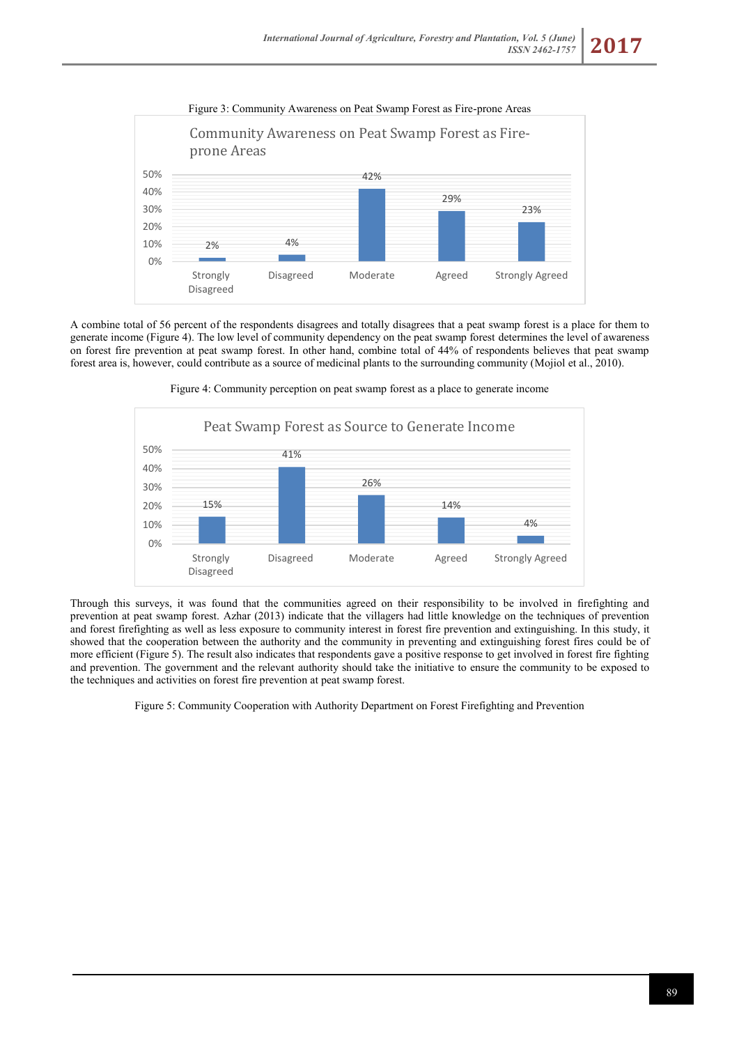

A combine total of 56 percent of the respondents disagrees and totally disagrees that a peat swamp forest is a place for them to generate income (Figure 4). The low level of community dependency on the peat swamp forest determines the level of awareness on forest fire prevention at peat swamp forest. In other hand, combine total of 44% of respondents believes that peat swamp forest area is, however, could contribute as a source of medicinal plants to the surrounding community (Mojiol et al., 2010).



Figure 4: Community perception on peat swamp forest as a place to generate income

Through this surveys, it was found that the communities agreed on their responsibility to be involved in firefighting and prevention at peat swamp forest. Azhar (2013) indicate that the villagers had little knowledge on the techniques of prevention and forest firefighting as well as less exposure to community interest in forest fire prevention and extinguishing. In this study, it showed that the cooperation between the authority and the community in preventing and extinguishing forest fires could be of more efficient (Figure 5). The result also indicates that respondents gave a positive response to get involved in forest fire fighting and prevention. The government and the relevant authority should take the initiative to ensure the community to be exposed to the techniques and activities on forest fire prevention at peat swamp forest.

Figure 5: Community Cooperation with Authority Department on Forest Firefighting and Prevention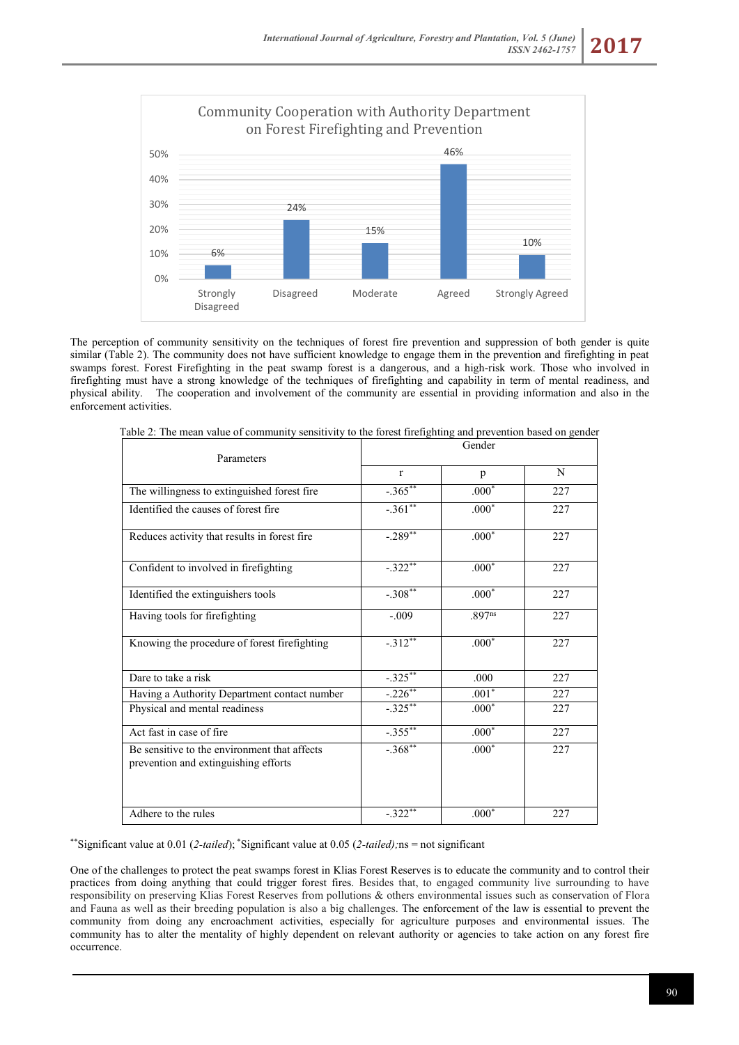

The perception of community sensitivity on the techniques of forest fire prevention and suppression of both gender is quite similar (Table 2). The community does not have sufficient knowledge to engage them in the prevention and firefighting in peat swamps forest. Forest Firefighting in the peat swamp forest is a dangerous, and a high-risk work. Those who involved in firefighting must have a strong knowledge of the techniques of firefighting and capability in term of mental readiness, and physical ability. The cooperation and involvement of the community are essential in providing information and also in the enforcement activities.

| Parameters                                                                           | Gender       |         |     |  |
|--------------------------------------------------------------------------------------|--------------|---------|-----|--|
|                                                                                      | $\mathbf{r}$ | p       | N   |  |
| The willingness to extinguished forest fire                                          | $-.365***$   | $.000*$ | 227 |  |
| Identified the causes of forest fire                                                 | $-.361$ **   | $.000*$ | 227 |  |
| Reduces activity that results in forest fire                                         | $-.289$      | $.000*$ | 227 |  |
| Confident to involved in firefighting                                                | $-.322**$    | $.000*$ | 227 |  |
| Identified the extinguishers tools                                                   | $-.308**$    | $.000*$ | 227 |  |
| Having tools for firefighting                                                        | $-.009$      | .897ns  | 227 |  |
| Knowing the procedure of forest firefighting                                         | $-.312**$    | $.000*$ | 227 |  |
| Dare to take a risk                                                                  | $-.325***$   | .000    | 227 |  |
| Having a Authority Department contact number                                         | $-.226***$   | $.001*$ | 227 |  |
| Physical and mental readiness                                                        | $-.325***$   | $.000*$ | 227 |  |
| Act fast in case of fire                                                             | $-.355***$   | $.000*$ | 227 |  |
| Be sensitive to the environment that affects<br>prevention and extinguishing efforts | $-.368**$    | $.000*$ | 227 |  |
| Adhere to the rules                                                                  | $-.322**$    | $.000*$ | 227 |  |

Table 2: The mean value of community sensitivity to the forest firefighting and prevention based on gender

\*\*Significant value at 0.01 (*2-tailed*); \*Significant value at 0.05 (*2-tailed);*ns = not significant

One of the challenges to protect the peat swamps forest in Klias Forest Reserves is to educate the community and to control their practices from doing anything that could trigger forest fires. Besides that, to engaged community live surrounding to have responsibility on preserving Klias Forest Reserves from pollutions & others environmental issues such as conservation of Flora and Fauna as well as their breeding population is also a big challenges. The enforcement of the law is essential to prevent the community from doing any encroachment activities, especially for agriculture purposes and environmental issues. The community has to alter the mentality of highly dependent on relevant authority or agencies to take action on any forest fire occurrence.